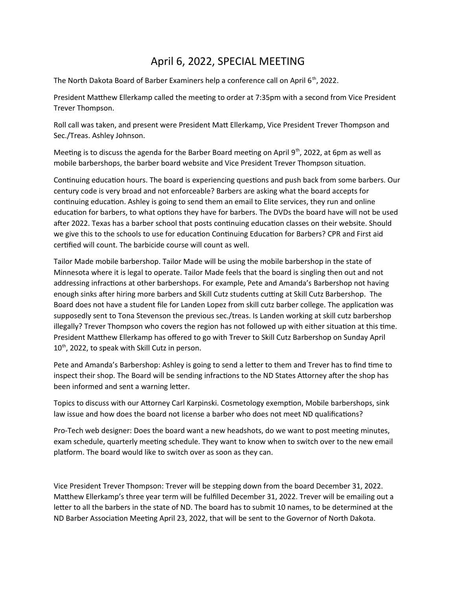## April 6, 2022, SPECIAL MEETING

The North Dakota Board of Barber Examiners help a conference call on April 6<sup>th</sup>, 2022.

President Matthew Ellerkamp called the meeting to order at 7:35pm with a second from Vice President Trever Thompson.

Roll call was taken, and present were President Matt Ellerkamp, Vice President Trever Thompson and Sec./Treas. Ashley Johnson.

Meeting is to discuss the agenda for the Barber Board meeting on April 9<sup>th</sup>, 2022, at 6pm as well as mobile barbershops, the barber board website and Vice President Trever Thompson situation.

Continuing education hours. The board is experiencing questions and push back from some barbers. Our century code is very broad and not enforceable? Barbers are asking what the board accepts for continuing education. Ashley is going to send them an email to Elite services, they run and online education for barbers, to what options they have for barbers. The DVDs the board have will not be used after 2022. Texas has a barber school that posts continuing education classes on their website. Should we give this to the schools to use for education Continuing Education for Barbers? CPR and First aid certified will count. The barbicide course will count as well.

Tailor Made mobile barbershop. Tailor Made will be using the mobile barbershop in the state of Minnesota where it is legal to operate. Tailor Made feels that the board is singling then out and not addressing infractions at other barbershops. For example, Pete and Amanda's Barbershop not having enough sinks after hiring more barbers and Skill Cutz students cutting at Skill Cutz Barbershop. The Board does not have a student file for Landen Lopez from skill cutz barber college. The application was supposedly sent to Tona Stevenson the previous sec./treas. Is Landen working at skill cutz barbershop illegally? Trever Thompson who covers the region has not followed up with either situation at this time. President Matthew Ellerkamp has offered to go with Trever to Skill Cutz Barbershop on Sunday April 10<sup>th</sup>, 2022, to speak with Skill Cutz in person.

Pete and Amanda's Barbershop: Ashley is going to send a letter to them and Trever has to find time to inspect their shop. The Board will be sending infractions to the ND States Attorney after the shop has been informed and sent a warning letter.

Topics to discuss with our Attorney Carl Karpinski. Cosmetology exemption, Mobile barbershops, sink law issue and how does the board not license a barber who does not meet ND qualifications?

Pro-Tech web designer: Does the board want a new headshots, do we want to post meeting minutes, exam schedule, quarterly meeting schedule. They want to know when to switch over to the new email platform. The board would like to switch over as soon as they can.

Vice President Trever Thompson: Trever will be stepping down from the board December 31, 2022. Matthew Ellerkamp's three year term will be fulfilled December 31, 2022. Trever will be emailing out a letter to all the barbers in the state of ND. The board has to submit 10 names, to be determined at the ND Barber Association Meeting April 23, 2022, that will be sent to the Governor of North Dakota.